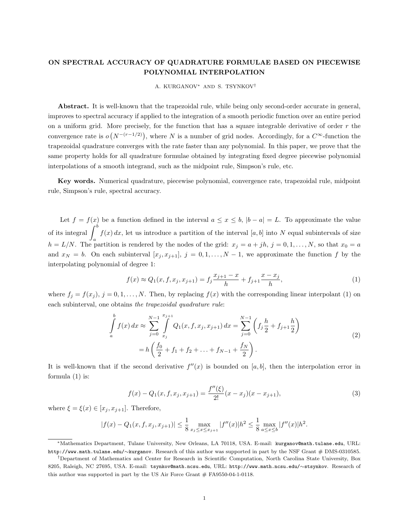## ON SPECTRAL ACCURACY OF QUADRATURE FORMULAE BASED ON PIECEWISE POLYNOMIAL INTERPOLATION

A. KURGANOV<sup>∗</sup> AND S. TSYNKOV†

Abstract. It is well-known that the trapezoidal rule, while being only second-order accurate in general, improves to spectral accuracy if applied to the integration of a smooth periodic function over an entire period on a uniform grid. More precisely, for the function that has a square integrable derivative of order  $r$  the convergence rate is  $o(N^{-(r-1/2)})$ , where N is a number of grid nodes. Accordingly, for a  $C^{\infty}$ -function the trapezoidal quadrature converges with the rate faster than any polynomial. In this paper, we prove that the same property holds for all quadrature formulae obtained by integrating fixed degree piecewise polynomial interpolations of a smooth integrand, such as the midpoint rule, Simpson's rule, etc.

Key words. Numerical quadrature, piecewise polynomial, convergence rate, trapezoidal rule, midpoint rule, Simpson's rule, spectral accuracy.

Let  $f = f(x)$  be a function defined in the interval  $a \le x \le b$ ,  $|b - a| = L$ . To approximate the value of its integral  $\int_{a}^{b} f(x) dx$ , let us introduce a partition of the interval [a, b] into N equal subintervals of size  $h = L/N$ . The partition is rendered by the nodes of the grid:  $x_j = a + jh$ ,  $j = 0, 1, ..., N$ , so that  $x_0 = a$ and  $x_N = b$ . On each subinterval  $[x_i, x_{i+1}], j = 0, 1, ..., N-1$ , we approximate the function f by the interpolating polynomial of degree 1:

$$
f(x) \approx Q_1(x, f, x_j, x_{j+1}) = f_j \frac{x_{j+1} - x}{h} + f_{j+1} \frac{x - x_j}{h},
$$
\n(1)

where  $f_j = f(x_j)$ ,  $j = 0, 1, ..., N$ . Then, by replacing  $f(x)$  with the corresponding linear interpolant (1) on each subinterval, one obtains the trapezoidal quadrature rule:

$$
\int_{a}^{b} f(x) dx \approx \sum_{j=0}^{N-1} \int_{x_j}^{x_{j+1}} Q_1(x, f, x_j, x_{j+1}) dx = \sum_{j=0}^{N-1} \left( f_j \frac{h}{2} + f_{j+1} \frac{h}{2} \right)
$$
  
=  $h \left( \frac{f_0}{2} + f_1 + f_2 + \dots + f_{N-1} + \frac{f_N}{2} \right).$  (2)

It is well-known that if the second derivative  $f''(x)$  is bounded on [a, b], then the interpolation error in formula (1) is:

$$
f(x) - Q_1(x, f, x_j, x_{j+1}) = \frac{f''(\xi)}{2!}(x - x_j)(x - x_{j+1}),
$$
\n(3)

where  $\xi = \xi(x) \in [x_i, x_{i+1}]$ . Therefore,

$$
|f(x) - Q_1(x, f, x_j, x_{j+1})| \le \frac{1}{8} \max_{x_j \le x \le x_{j+1}} |f''(x)| h^2 \le \frac{1}{8} \max_{a \le x \le b} |f''(x)| h^2.
$$

<sup>∗</sup>Mathematics Department, Tulane University, New Orleans, LA 70118, USA. E-mail: kurganov@math.tulane.edu, URL: http://www.math.tulane.edu/∼kurganov. Research of this author was supported in part by the NSF Grant # DMS-0310585.

<sup>†</sup>Department of Mathematics and Center for Research in Scientific Computation, North Carolina State University, Box 8205, Raleigh, NC 27695, USA. E-mail: tsynkov@math.ncsu.edu, URL: http://www.math.ncsu.edu/∼stsynkov. Research of this author was supported in part by the US Air Force Grant  $#$  FA9550-04-1-0118.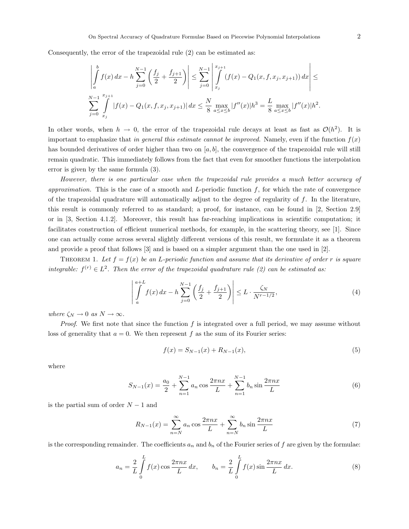Consequently, the error of the trapezoidal rule (2) can be estimated as:

$$
\left| \int_{a}^{b} f(x) dx - h \sum_{j=0}^{N-1} \left( \frac{f_j}{2} + \frac{f_{j+1}}{2} \right) \right| \leq \sum_{j=0}^{N-1} \left| \int_{x_j}^{x_{j+1}} (f(x) - Q_1(x, f, x_j, x_{j+1})) dx \right| \leq
$$
  

$$
\sum_{j=0}^{N-1} \int_{x_j}^{x_{j+1}} |f(x) - Q_1(x, f, x_j, x_{j+1})| dx \leq \frac{N}{8} \max_{a \leq x \leq b} |f''(x)| h^3 = \frac{L}{8} \max_{a \leq x \leq b} |f''(x)| h^2.
$$

In other words, when  $h \to 0$ , the error of the trapezoidal rule decays at least as fast as  $\mathcal{O}(h^2)$ . It is important to emphasize that in general this estimate cannot be improved. Namely, even if the function  $f(x)$ has bounded derivatives of order higher than two on  $[a, b]$ , the convergence of the trapezoidal rule will still remain quadratic. This immediately follows from the fact that even for smoother functions the interpolation error is given by the same formula (3).

However, there is one particular case when the trapezoidal rule provides a much better accuracy of approximation. This is the case of a smooth and L-periodic function  $f$ , for which the rate of convergence of the trapezoidal quadrature will automatically adjust to the degree of regularity of  $f$ . In the literature, this result is commonly referred to as standard; a proof, for instance, can be found in [2, Section 2.9] or in [3, Section 4.1.2]. Moreover, this result has far-reaching implications in scientific computation; it facilitates construction of efficient numerical methods, for example, in the scattering theory, see [1]. Since one can actually come across several slightly different versions of this result, we formulate it as a theorem and provide a proof that follows [3] and is based on a simpler argument than the one used in [2].

THEOREM 1. Let  $f = f(x)$  be an L-periodic function and assume that its derivative of order r is square integrable:  $f^{(r)} \in L^2$ . Then the error of the trapezoidal quadrature rule (2) can be estimated as:

$$
\left| \int_{a}^{a+L} f(x) dx - h \sum_{j=0}^{N-1} \left( \frac{f_j}{2} + \frac{f_{j+1}}{2} \right) \right| \le L \cdot \frac{\zeta_N}{N^{r-1/2}},\tag{4}
$$

where  $\zeta_N \to 0$  as  $N \to \infty$ .

Proof. We first note that since the function f is integrated over a full period, we may assume without loss of generality that  $a = 0$ . We then represent f as the sum of its Fourier series:

$$
f(x) = S_{N-1}(x) + R_{N-1}(x),
$$
\n(5)

where

$$
S_{N-1}(x) = \frac{a_0}{2} + \sum_{n=1}^{N-1} a_n \cos \frac{2\pi nx}{L} + \sum_{n=1}^{N-1} b_n \sin \frac{2\pi nx}{L}
$$
(6)

is the partial sum of order  $N-1$  and

$$
R_{N-1}(x) = \sum_{n=N}^{\infty} a_n \cos \frac{2\pi nx}{L} + \sum_{n=N}^{\infty} b_n \sin \frac{2\pi nx}{L}
$$
 (7)

is the corresponding remainder. The coefficients  $a_n$  and  $b_n$  of the Fourier series of f are given by the formulae:

$$
a_n = \frac{2}{L} \int_0^L f(x) \cos \frac{2\pi nx}{L} dx, \qquad b_n = \frac{2}{L} \int_0^L f(x) \sin \frac{2\pi nx}{L} dx.
$$
 (8)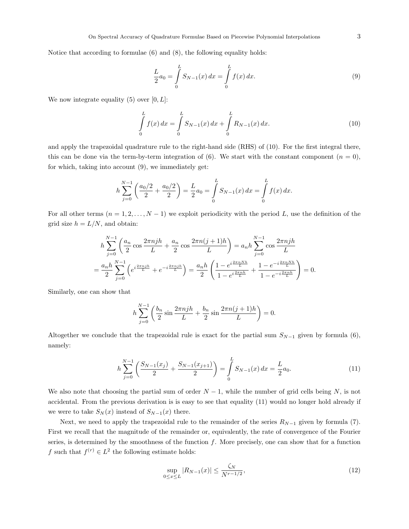Notice that according to formulae (6) and (8), the following equality holds:

$$
\frac{L}{2}a_0 = \int\limits_0^L S_{N-1}(x) \, dx = \int\limits_0^L f(x) \, dx. \tag{9}
$$

We now integrate equality (5) over  $[0, L]$ :

$$
\int_{0}^{L} f(x) dx = \int_{0}^{L} S_{N-1}(x) dx + \int_{0}^{L} R_{N-1}(x) dx.
$$
\n(10)

and apply the trapezoidal quadrature rule to the right-hand side (RHS) of (10). For the first integral there, this can be done via the term-by-term integration of (6). We start with the constant component  $(n = 0)$ , for which, taking into account (9), we immediately get:

$$
h\sum_{j=0}^{N-1}\left(\frac{a_0/2}{2}+\frac{a_0/2}{2}\right)=\frac{L}{2}a_0=\int\limits_0^L S_{N-1}(x)\,dx=\int\limits_0^L f(x)\,dx.
$$

For all other terms  $(n = 1, 2, ..., N - 1)$  we exploit periodicity with the period L, use the definition of the grid size  $h = L/N$ , and obtain:

$$
h\sum_{j=0}^{N-1} \left(\frac{a_n}{2}\cos\frac{2\pi njh}{L} + \frac{a_n}{2}\cos\frac{2\pi n(j+1)h}{L}\right) = a_n h \sum_{j=0}^{N-1} \cos\frac{2\pi njh}{L}
$$

$$
= \frac{a_n h}{2} \sum_{j=0}^{N-1} \left(e^{i\frac{2\pi njh}{L}} + e^{-i\frac{2\pi njh}{L}}\right) = \frac{a_n h}{2} \left(\frac{1 - e^{i\frac{2\pi n N h}{L}}}{1 - e^{i\frac{2\pi n h}{L}}} + \frac{1 - e^{-i\frac{2\pi n N h}{L}}}{1 - e^{-i\frac{2\pi n h}{L}}}\right) = 0.
$$

Similarly, one can show that

$$
h\sum_{j=0}^{N-1} \left(\frac{b_n}{2}\sin\frac{2\pi n j h}{L} + \frac{b_n}{2}\sin\frac{2\pi n (j+1) h}{L}\right) = 0.
$$

Altogether we conclude that the trapezoidal rule is exact for the partial sum  $S_{N-1}$  given by formula (6), namely:

$$
h\sum_{j=0}^{N-1} \left( \frac{S_{N-1}(x_j)}{2} + \frac{S_{N-1}(x_{j+1})}{2} \right) = \int\limits_0^L S_{N-1}(x) \, dx = \frac{L}{2} a_0. \tag{11}
$$

We also note that choosing the partial sum of order  $N-1$ , while the number of grid cells being N, is not accidental. From the previous derivation is is easy to see that equality (11) would no longer hold already if we were to take  $S_N(x)$  instead of  $S_{N-1}(x)$  there.

Next, we need to apply the trapezoidal rule to the remainder of the series  $R_{N-1}$  given by formula (7). First we recall that the magnitude of the remainder or, equivalently, the rate of convergence of the Fourier series, is determined by the smoothness of the function  $f$ . More precisely, one can show that for a function f such that  $f^{(r)} \in L^2$  the following estimate holds:

$$
\sup_{0 \le x \le L} |R_{N-1}(x)| \le \frac{\zeta_N}{N^{r-1/2}},\tag{12}
$$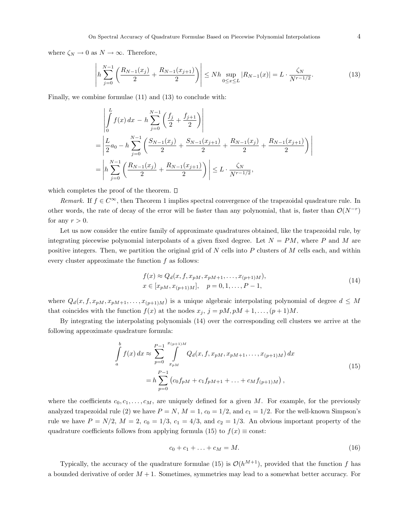where  $\zeta_N \to 0$  as  $N \to \infty$ . Therefore,

$$
\left| h \sum_{j=0}^{N-1} \left( \frac{R_{N-1}(x_j)}{2} + \frac{R_{N-1}(x_{j+1})}{2} \right) \right| \le N h \sup_{0 \le x \le L} |R_{N-1}(x)| = L \cdot \frac{\zeta_N}{N^{r-1/2}}.
$$
 (13)

Finally, we combine formulae (11) and (13) to conclude with:

$$
\begin{aligned}\n&\left| \int_{0}^{L} f(x) dx - h \sum_{j=0}^{N-1} \left( \frac{f_j}{2} + \frac{f_{j+1}}{2} \right) \right| \\
&= \left| \frac{L}{2} a_0 - h \sum_{j=0}^{N-1} \left( \frac{S_{N-1}(x_j)}{2} + \frac{S_{N-1}(x_{j+1})}{2} + \frac{R_{N-1}(x_j)}{2} + \frac{R_{N-1}(x_{j+1})}{2} \right) \right| \\
&= \left| h \sum_{j=0}^{N-1} \left( \frac{R_{N-1}(x_j)}{2} + \frac{R_{N-1}(x_{j+1})}{2} \right) \right| \le L \cdot \frac{\zeta_N}{N^{r-1/2}},\n\end{aligned}
$$

which completes the proof of the theorem.  $\square$ 

Remark. If  $f \in C^{\infty}$ , then Theorem 1 implies spectral convergence of the trapezoidal quadrature rule. In other words, the rate of decay of the error will be faster than any polynomial, that is, faster than  $\mathcal{O}(N^{-r})$ for any  $r > 0$ .

Let us now consider the entire family of approximate quadratures obtained, like the trapezoidal rule, by integrating piecewise polynomial interpolants of a given fixed degree. Let  $N = PM$ , where P and M are positive integers. Then, we partition the original grid of  $N$  cells into  $P$  clusters of  $M$  cells each, and within every cluster approximate the function  $f$  as follows:

$$
f(x) \approx Q_d(x, f, x_{pM}, x_{pM+1}, \dots, x_{(p+1)M}),
$$
  
\n
$$
x \in [x_{pM}, x_{(p+1)M}], \quad p = 0, 1, \dots, P-1,
$$
\n(14)

where  $Q_d(x, f, x_{pM}, x_{pM+1}, \ldots, x_{(p+1)M})$  is a unique algebraic interpolating polynomial of degree  $d \leq M$ that coincides with the function  $f(x)$  at the nodes  $x_j$ ,  $j = pM, pM + 1, \ldots, (p+1)M$ .

By integrating the interpolating polynomials (14) over the corresponding cell clusters we arrive at the following approximate quadrature formula:

$$
\int_{a}^{b} f(x) dx \approx \sum_{p=0}^{P-1} \int_{x_{pM}}^{x_{(p+1)M}} Q_d(x, f, x_{pM}, x_{pM+1}, \dots, x_{(p+1)M}) dx
$$
\n
$$
= h \sum_{p=0}^{P-1} (c_0 f_{pM} + c_1 f_{pM+1} + \dots + c_M f_{(p+1)M}),
$$
\n(15)

where the coefficients  $c_0, c_1, \ldots, c_M$ , are uniquely defined for a given M. For example, for the previously analyzed trapezoidal rule (2) we have  $P = N$ ,  $M = 1$ ,  $c_0 = 1/2$ , and  $c_1 = 1/2$ . For the well-known Simpson's rule we have  $P = N/2$ ,  $M = 2$ ,  $c_0 = 1/3$ ,  $c_1 = 4/3$ , and  $c_2 = 1/3$ . An obvious important property of the quadrature coefficients follows from applying formula (15) to  $f(x) \equiv \text{const.}$ 

$$
c_0 + c_1 + \ldots + c_M = M. \tag{16}
$$

Typically, the accuracy of the quadrature formulae (15) is  $\mathcal{O}(h^{M+1})$ , provided that the function f has a bounded derivative of order  $M + 1$ . Sometimes, symmetries may lead to a somewhat better accuracy. For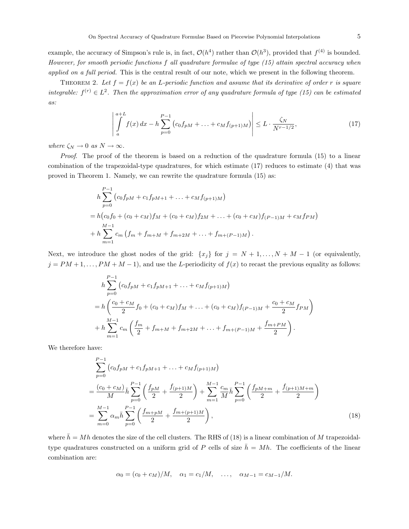example, the accuracy of Simpson's rule is, in fact,  $\mathcal{O}(h^4)$  rather than  $\mathcal{O}(h^3)$ , provided that  $f^{(4)}$  is bounded. However, for smooth periodic functions f all quadrature formulae of type (15) attain spectral accuracy when applied on a full period. This is the central result of our note, which we present in the following theorem.

THEOREM 2. Let  $f = f(x)$  be an L-periodic function and assume that its derivative of order r is square integrable:  $f^{(r)} \in L^2$ . Then the approximation error of any quadrature formula of type (15) can be estimated as:

$$
\left| \int_{a}^{a+L} f(x) dx - h \sum_{p=0}^{P-1} \left( c_0 f_{pM} + \dots + c_M f_{(p+1)M} \right) \right| \le L \cdot \frac{\zeta_N}{N^{r-1/2}},\tag{17}
$$

where  $\zeta_N \to 0 \, \; as \; N \to \infty.$ 

Proof. The proof of the theorem is based on a reduction of the quadrature formula (15) to a linear combination of the trapezoidal-type quadratures, for which estimate (17) reduces to estimate (4) that was proved in Theorem 1. Namely, we can rewrite the quadrature formula (15) as:

$$
h \sum_{p=0}^{P-1} (c_0 f_{pM} + c_1 f_{pM+1} + \dots + c_M f_{(p+1)M})
$$
  
=  $h (c_0 f_0 + (c_0 + c_M) f_M + (c_0 + c_M) f_{2M} + \dots + (c_0 + c_M) f_{(P-1)M} + c_M f_{PM})$   
+  $h \sum_{m=1}^{M-1} c_m (f_m + f_{m+M} + f_{m+2M} + \dots + f_{m+(P-1)M}).$ 

Next, we introduce the ghost nodes of the grid:  $\{x_j\}$  for  $j = N + 1, \ldots, N + M - 1$  (or equivalently,  $j = PM + 1, \ldots, PM + M - 1$ , and use the L-periodicity of  $f(x)$  to recast the previous equality as follows:

$$
h \sum_{p=0}^{P-1} (c_0 f_{pM} + c_1 f_{pM+1} + \dots + c_M f_{(p+1)M})
$$
  
= 
$$
h \left( \frac{c_0 + c_M}{2} f_0 + (c_0 + c_M) f_M + \dots + (c_0 + c_M) f_{(P-1)M} + \frac{c_0 + c_M}{2} f_{PM} \right)
$$
  
+ 
$$
h \sum_{m=1}^{M-1} c_m \left( \frac{f_m}{2} + f_{m+M} + f_{m+2M} + \dots + f_{m+(P-1)M} + \frac{f_{m+PM}}{2} \right).
$$

We therefore have:

=

$$
\sum_{p=0}^{P-1} \left( c_0 f_{pM} + c_1 f_{pM+1} + \dots + c_M f_{(p+1)M} \right)
$$
\n
$$
= \frac{(c_0 + c_M)}{M} \bar{h} \sum_{p=0}^{P-1} \left( \frac{f_{pM}}{2} + \frac{f_{(p+1)M}}{2} \right) + \sum_{m=1}^{M-1} \frac{c_m}{M} \bar{h} \sum_{p=0}^{P-1} \left( \frac{f_{pM+m}}{2} + \frac{f_{(p+1)M+m}}{2} \right)
$$
\n
$$
= \sum_{m=0}^{M-1} \alpha_m \bar{h} \sum_{p=0}^{P-1} \left( \frac{f_{m+pM}}{2} + \frac{f_{m+(p+1)M}}{2} \right),
$$
\n(18)

where  $\bar{h} = Mh$  denotes the size of the cell clusters. The RHS of (18) is a linear combination of M trapezoidaltype quadratures constructed on a uniform grid of P cells of size  $\bar{h} = Mh$ . The coefficients of the linear combination are:

$$
\alpha_0 = (c_0 + c_M)/M, \quad \alpha_1 = c_1/M, \quad \dots, \quad \alpha_{M-1} = c_{M-1}/M.
$$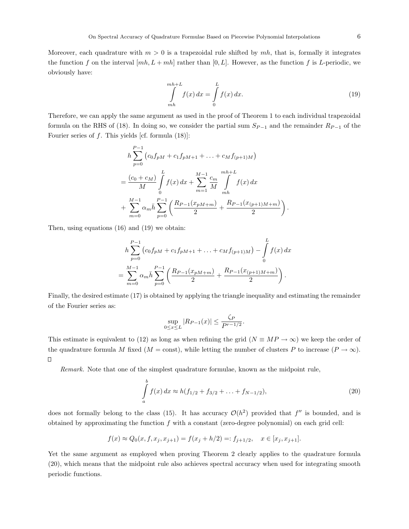Moreover, each quadrature with  $m > 0$  is a trapezoidal rule shifted by mh, that is, formally it integrates the function f on the interval  $[mh, L + mh]$  rather than  $[0, L]$ . However, as the function f is L-periodic, we obviously have:

$$
\int_{mh}^{mh+L} f(x) dx = \int_{0}^{L} f(x) dx.
$$
\n(19)

Therefore, we can apply the same argument as used in the proof of Theorem 1 to each individual trapezoidal formula on the RHS of (18). In doing so, we consider the partial sum  $S_{P-1}$  and the remainder  $R_{P-1}$  of the Fourier series of  $f$ . This yields [cf. formula (18)]:

$$
h \sum_{p=0}^{P-1} (c_0 f_{pM} + c_1 f_{pM+1} + \dots + c_M f_{(p+1)M})
$$
  
=  $\frac{(c_0 + c_M)}{M} \int_0^L f(x) dx + \sum_{m=1}^{M-1} \frac{c_m}{M} \int_{mh}^{mh+L} f(x) dx$   
+  $\sum_{m=0}^{M-1} \alpha_m \bar{h} \sum_{p=0}^{P-1} \left( \frac{R_{P-1}(x_{pM+m})}{2} + \frac{R_{P-1}(x_{(p+1)M+m})}{2} \right).$ 

Then, using equations (16) and (19) we obtain:

$$
h\sum_{p=0}^{P-1} \left(c_0 f_{pM} + c_1 f_{pM+1} + \dots + c_M f_{(p+1)M}\right) - \int_0^L f(x) dx
$$
  
= 
$$
\sum_{m=0}^{M-1} \alpha_m \bar{h} \sum_{p=0}^{P-1} \left(\frac{R_{P-1}(x_{pM+m})}{2} + \frac{R_{P-1}(x_{(p+1)M+m})}{2}\right).
$$

Finally, the desired estimate (17) is obtained by applying the triangle inequality and estimating the remainder of the Fourier series as:

$$
\sup_{0 \le x \le L} |R_{P-1}(x)| \le \frac{\zeta_P}{P^{r-1/2}}.
$$

This estimate is equivalent to (12) as long as when refining the grid ( $N \equiv MP \rightarrow \infty$ ) we keep the order of the quadrature formula M fixed ( $M = \text{const}$ ), while letting the number of clusters P to increase ( $P \rightarrow \infty$ ).  $\Box$ 

Remark. Note that one of the simplest quadrature formulae, known as the midpoint rule,

$$
\int_{a}^{b} f(x) dx \approx h(f_{1/2} + f_{3/2} + \dots + f_{N-1/2}),
$$
\n(20)

does not formally belong to the class (15). It has accuracy  $\mathcal{O}(h^2)$  provided that  $f''$  is bounded, and is obtained by approximating the function  $f$  with a constant (zero-degree polynomial) on each grid cell:

$$
f(x) \approx Q_0(x, f, x_j, x_{j+1}) = f(x_j + h/2) =: f_{j+1/2}, \quad x \in [x_j, x_{j+1}].
$$

Yet the same argument as employed when proving Theorem 2 clearly applies to the quadrature formula (20), which means that the midpoint rule also achieves spectral accuracy when used for integrating smooth periodic functions.